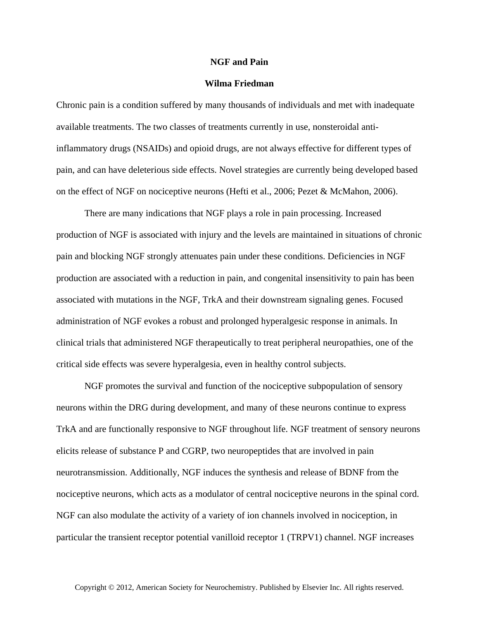## **NGF and Pain**

## **Wilma Friedman**

Chronic pain is a condition suffered by many thousands of individuals and met with inadequate available treatments. The two classes of treatments currently in use, nonsteroidal antiinflammatory drugs (NSAIDs) and opioid drugs, are not always effective for different types of pain, and can have deleterious side effects. Novel strategies are currently being developed based on the effect of NGF on nociceptive neurons (Hefti et al., 2006; Pezet & McMahon, 2006).

There are many indications that NGF plays a role in pain processing. Increased production of NGF is associated with injury and the levels are maintained in situations of chronic pain and blocking NGF strongly attenuates pain under these conditions. Deficiencies in NGF production are associated with a reduction in pain, and congenital insensitivity to pain has been associated with mutations in the NGF, TrkA and their downstream signaling genes. Focused administration of NGF evokes a robust and prolonged hyperalgesic response in animals. In clinical trials that administered NGF therapeutically to treat peripheral neuropathies, one of the critical side effects was severe hyperalgesia, even in healthy control subjects.

NGF promotes the survival and function of the nociceptive subpopulation of sensory neurons within the DRG during development, and many of these neurons continue to express TrkA and are functionally responsive to NGF throughout life. NGF treatment of sensory neurons elicits release of substance P and CGRP, two neuropeptides that are involved in pain neurotransmission. Additionally, NGF induces the synthesis and release of BDNF from the nociceptive neurons, which acts as a modulator of central nociceptive neurons in the spinal cord. NGF can also modulate the activity of a variety of ion channels involved in nociception, in particular the transient receptor potential vanilloid receptor 1 (TRPV1) channel. NGF increases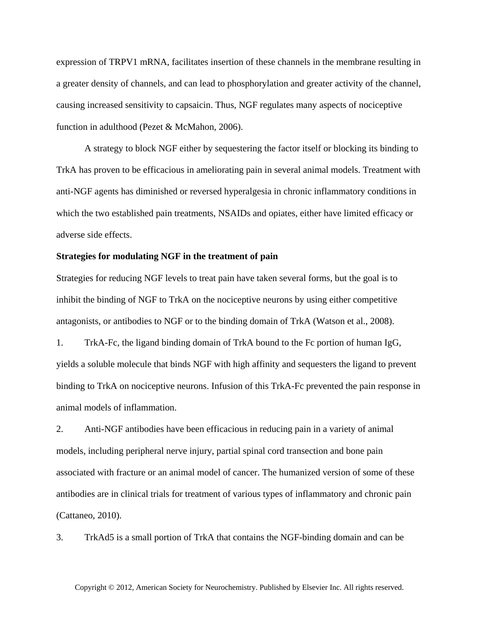expression of TRPV1 mRNA, facilitates insertion of these channels in the membrane resulting in a greater density of channels, and can lead to phosphorylation and greater activity of the channel, causing increased sensitivity to capsaicin. Thus, NGF regulates many aspects of nociceptive function in adulthood (Pezet & McMahon, 2006).

A strategy to block NGF either by sequestering the factor itself or blocking its binding to TrkA has proven to be efficacious in ameliorating pain in several animal models. Treatment with anti-NGF agents has diminished or reversed hyperalgesia in chronic inflammatory conditions in which the two established pain treatments, NSAIDs and opiates, either have limited efficacy or adverse side effects.

## **Strategies for modulating NGF in the treatment of pain**

Strategies for reducing NGF levels to treat pain have taken several forms, but the goal is to inhibit the binding of NGF to TrkA on the nociceptive neurons by using either competitive antagonists, or antibodies to NGF or to the binding domain of TrkA (Watson et al., 2008).

1. TrkA-Fc, the ligand binding domain of TrkA bound to the Fc portion of human IgG, yields a soluble molecule that binds NGF with high affinity and sequesters the ligand to prevent binding to TrkA on nociceptive neurons. Infusion of this TrkA-Fc prevented the pain response in animal models of inflammation.

2. Anti-NGF antibodies have been efficacious in reducing pain in a variety of animal models, including peripheral nerve injury, partial spinal cord transection and bone pain associated with fracture or an animal model of cancer. The humanized version of some of these antibodies are in clinical trials for treatment of various types of inflammatory and chronic pain (Cattaneo, 2010).

3. TrkAd5 is a small portion of TrkA that contains the NGF-binding domain and can be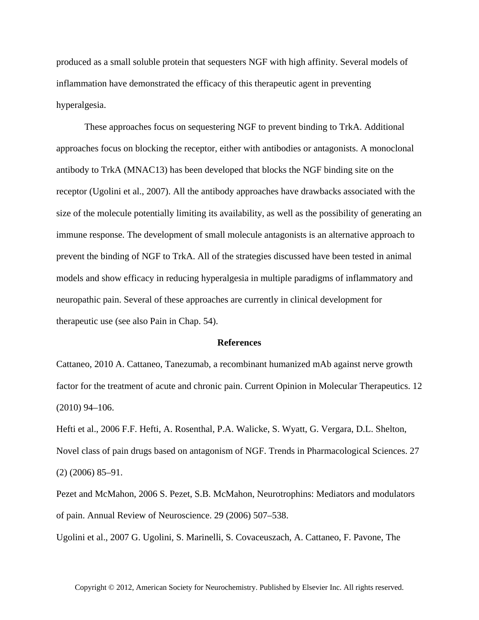produced as a small soluble protein that sequesters NGF with high affinity. Several models of inflammation have demonstrated the efficacy of this therapeutic agent in preventing hyperalgesia.

These approaches focus on sequestering NGF to prevent binding to TrkA. Additional approaches focus on blocking the receptor, either with antibodies or antagonists. A monoclonal antibody to TrkA (MNAC13) has been developed that blocks the NGF binding site on the receptor (Ugolini et al., 2007). All the antibody approaches have drawbacks associated with the size of the molecule potentially limiting its availability, as well as the possibility of generating an immune response. The development of small molecule antagonists is an alternative approach to prevent the binding of NGF to TrkA. All of the strategies discussed have been tested in animal models and show efficacy in reducing hyperalgesia in multiple paradigms of inflammatory and neuropathic pain. Several of these approaches are currently in clinical development for therapeutic use (see also Pain in Chap. 54).

## **References**

Cattaneo, 2010 A. Cattaneo, Tanezumab, a recombinant humanized mAb against nerve growth factor for the treatment of acute and chronic pain. Current Opinion in Molecular Therapeutics. 12 (2010) 94–106.

Hefti et al., 2006 F.F. Hefti, A. Rosenthal, P.A. Walicke, S. Wyatt, G. Vergara, D.L. Shelton, Novel class of pain drugs based on antagonism of NGF. Trends in Pharmacological Sciences. 27 (2) (2006) 85–91.

Pezet and McMahon, 2006 S. Pezet, S.B. McMahon, Neurotrophins: Mediators and modulators of pain. Annual Review of Neuroscience. 29 (2006) 507–538.

Ugolini et al., 2007 G. Ugolini, S. Marinelli, S. Covaceuszach, A. Cattaneo, F. Pavone, The